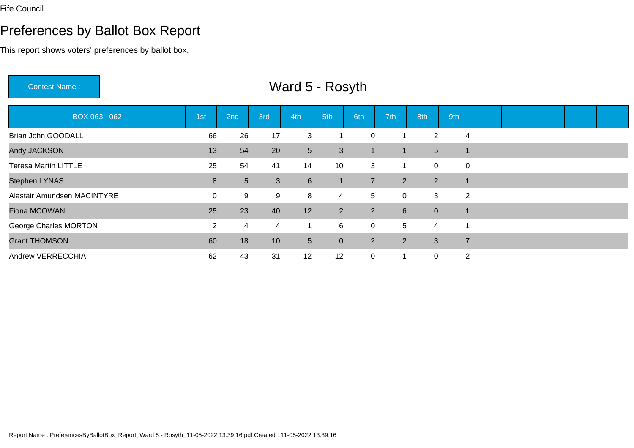## Preferences by Ballot Box Report

This report shows voters' preferences by ballot box.

Contest Name :BOX 063, 062 1st 2nd 3rd 4th 5th 6th 7th 8th 9th Brian John GOODALL <sup>66</sup> <sup>26</sup> <sup>17</sup> <sup>3</sup> <sup>1</sup> <sup>0</sup> <sup>1</sup> <sup>2</sup> <sup>4</sup> Andy JACKSONN 13 54 20 5 3 1 1 5 1 Teresa Martin LITTLEE 25 54 41 14 10 3 1 0 0 Stephen LYNAS8 5 3 6 1 7 2 2 1 Alastair Amundsen MACINTYREE 0 9 9 9 8 4 5 0 3 2 Fiona MCOWANN 25 23 40 12 2 2 6 0 1 George Charles MORTONN 2 4 4 1 6 0 5 4 1 Grant THOMSONN 60 18 10 5 0 2 2 3 7 Andrew VERRECCHIAA 62 43 31 12 12 0 1 0 2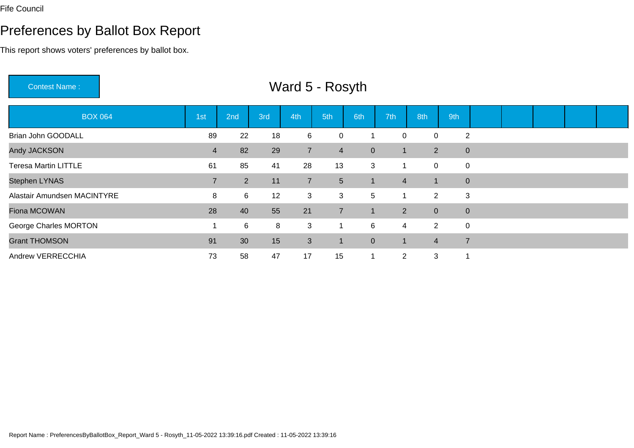# Preferences by Ballot Box Report

This report shows voters' preferences by ballot box.

Contest Name :

| <b>BOX 064</b>              | 1st            | 2nd            | 3rd | 4th            | 5th            | 6th            | 7th            | 8th            | 9th            |                |  |  |
|-----------------------------|----------------|----------------|-----|----------------|----------------|----------------|----------------|----------------|----------------|----------------|--|--|
| Brian John GOODALL          | 89             | 22             | 18  | 6              | $\mathbf 0$    |                | $\mathbf 0$    | $\mathbf 0$    |                | $\overline{2}$ |  |  |
| Andy JACKSON                | $\overline{4}$ | 82             | 29  | $\overline{7}$ | $\overline{4}$ | $\overline{0}$ | $\blacksquare$ | 2              |                | $\overline{0}$ |  |  |
| <b>Teresa Martin LITTLE</b> | 61             | 85             | 41  | 28             | 13             | 3              |                | $\overline{0}$ | $\overline{0}$ |                |  |  |
| Stephen LYNAS               | $\overline{7}$ | $\overline{2}$ | 11  | $\overline{7}$ | 5 <sup>5</sup> |                | $\overline{4}$ | $\mathbf 1$    |                | $\overline{0}$ |  |  |
| Alastair Amundsen MACINTYRE | 8              | 6              | 12  | 3              | 3              | 5              |                | 2              |                | 3              |  |  |
| Fiona MCOWAN                | 28             | 40             | 55  | 21             | $\overline{7}$ |                | $\overline{2}$ | $\overline{0}$ |                | $\overline{0}$ |  |  |
| George Charles MORTON       |                | 6              | 8   | 3              |                | 6              | $\overline{4}$ | 2              | $\overline{0}$ |                |  |  |
| <b>Grant THOMSON</b>        | 91             | 30             | 15  | 3              | $\mathbf{1}$   | $\mathbf{0}$   | -1             | $\overline{4}$ | $\overline{7}$ |                |  |  |
| Andrew VERRECCHIA           | 73             | 58             | 47  | 17             | 15             |                | $\overline{2}$ | 3              | 1              |                |  |  |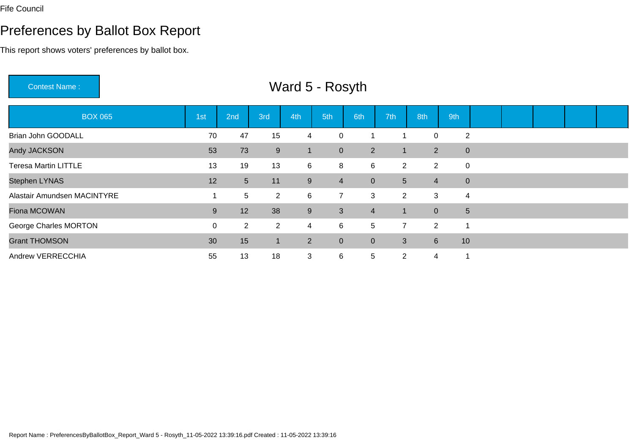## Preferences by Ballot Box Report

This report shows voters' preferences by ballot box.

Contest Name : Ward 5 - RosythBOX 065 1st 2nd 3rd 4th 5th 6th 7th 8th 9th Brian John GOODALLL 2 70 47 15 4 0 1 1 0 2 Andy JACKSONN 53 73 9 1 0 2 1 2 0 Teresa Martin LITTLEE 13 19 13 6 8 6 2 2 0 Stephen LYNAS5 5 12 5 11 9 4 0 5 4 0 5 4 0 Alastair Amundsen MACINTYREE 1 5 2 6 7 3 2 3 4 Fiona MCOWANN 1 2 38 9 3 4 1 0 5 George Charles MORTONN 0 2 2 4 6 5 7 2 1 Grant THOMSONN 1 2 0 0 3 6 10 Andrew VERRECCHIAA 55 13 18 3 6 5 2 4 1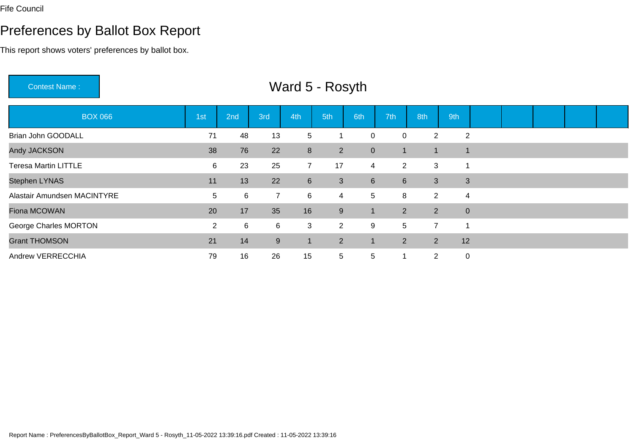# Preferences by Ballot Box Report

This report shows voters' preferences by ballot box.

Contest Name :

| <b>BOX 066</b>              | 1st            | 2nd | 3rd              | 4th              | 5th             | 6th            | 7th             | 8th            | 9th         |                |  |  |
|-----------------------------|----------------|-----|------------------|------------------|-----------------|----------------|-----------------|----------------|-------------|----------------|--|--|
| Brian John GOODALL          | 71             | 48  | 13               | $5\overline{)}$  |                 | 0              | 0               | $\overline{2}$ |             | $\overline{2}$ |  |  |
| Andy JACKSON                | 38             | 76  | 22               | 8                | 2 <sup>1</sup>  | $\mathbf{0}$   | 1               | 1              |             |                |  |  |
| <b>Teresa Martin LITTLE</b> | 6              | 23  | 25               | $7^{\circ}$      | 17              | $\overline{4}$ | $\overline{2}$  | 3              | 1           |                |  |  |
| <b>Stephen LYNAS</b>        | 11             | 13  | 22               | $6 \overline{6}$ | 3               | 6              | $6\overline{6}$ | $\mathfrak{S}$ |             | $\mathbf{3}$   |  |  |
| Alastair Amundsen MACINTYRE | 5              | 6   | $\overline{7}$   | 6                | 4               | 5              | 8               | 2              |             | $\overline{4}$ |  |  |
| Fiona MCOWAN                | 20             | 17  | 35               | 16               | 9               |                | $\overline{2}$  | 2              |             | $\overline{0}$ |  |  |
| George Charles MORTON       | $\overline{2}$ | 6   | 6                | 3                | $\overline{2}$  | 9              | 5               | $\overline{7}$ | 1           |                |  |  |
| <b>Grant THOMSON</b>        | 21             | 14  | $\boldsymbol{9}$ | $\mathbf{1}$     | $\overline{2}$  |                | $2^{\circ}$     | 2              | 12          |                |  |  |
| Andrew VERRECCHIA           | 79             | 16  | 26               | 15               | $5\overline{)}$ | 5              |                 | $\overline{2}$ | $\mathbf 0$ |                |  |  |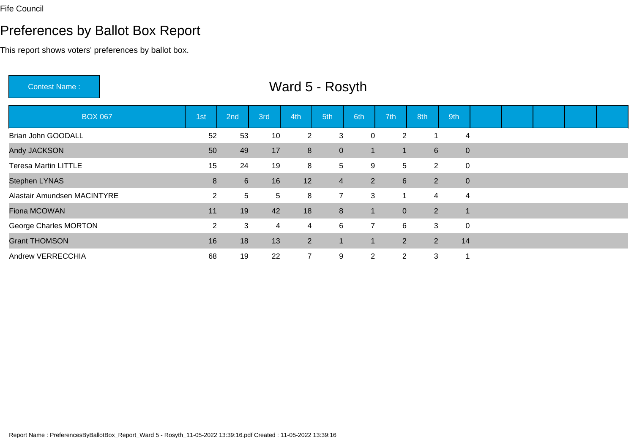# Preferences by Ballot Box Report

This report shows voters' preferences by ballot box.

Contest Name :

| <b>BOX 067</b>              | 1st            | 2nd             | 3rd | 4th            | 5th            | 6th            | 7th             | 8th            | 9th                      |                |  |  |
|-----------------------------|----------------|-----------------|-----|----------------|----------------|----------------|-----------------|----------------|--------------------------|----------------|--|--|
| Brian John GOODALL          | 52             | 53              | 10  | $\overline{2}$ | 3              | 0              | $\overline{2}$  |                |                          | 4              |  |  |
| Andy JACKSON                | 50             | 49              | 17  | 8              | $\overline{0}$ |                |                 | $6\phantom{1}$ |                          | $\overline{0}$ |  |  |
| <b>Teresa Martin LITTLE</b> | 15             | 24              | 19  | 8              | 5              | 9              | 5 <sup>5</sup>  | 2              |                          | $\overline{0}$ |  |  |
| Stephen LYNAS               | 8              | $6\overline{6}$ | 16  | 12             | $\overline{4}$ | $2^{\circ}$    | $6\overline{6}$ | 2              |                          | $\overline{0}$ |  |  |
| Alastair Amundsen MACINTYRE | $\overline{2}$ | $5\overline{)}$ | 5   | 8              | $\overline{7}$ | 3              |                 | 4              |                          | $\overline{4}$ |  |  |
| Fiona MCOWAN                | 11             | 19              | 42  | 18             | 8              |                | $\overline{0}$  | 2              | $\overline{\phantom{a}}$ |                |  |  |
| George Charles MORTON       | $\overline{2}$ | $\mathbf{3}$    | 4   | $\overline{4}$ | 6              | $7^{\circ}$    | 6               | 3              |                          | $\overline{0}$ |  |  |
| <b>Grant THOMSON</b>        | 16             | 18              | 13  | 2 <sup>1</sup> | $\mathbf{1}$   |                | $\overline{2}$  | 2              | 14                       |                |  |  |
| Andrew VERRECCHIA           | 68             | 19              | 22  | $\overline{7}$ | 9              | $\overline{2}$ | $\overline{2}$  | 3              | 1                        |                |  |  |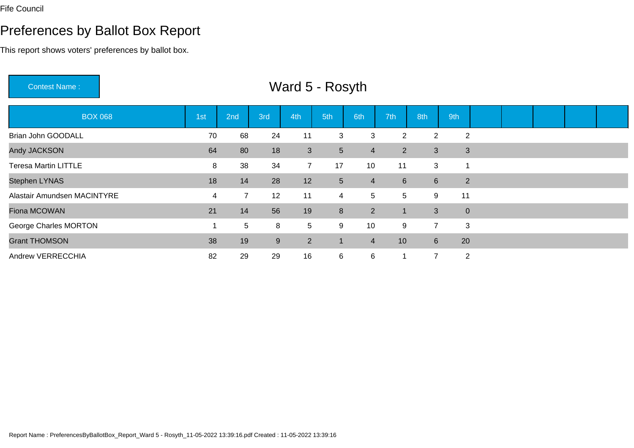## Preferences by Ballot Box Report

This report shows voters' preferences by ballot box.

Contest Name :BOX 068 1st 2nd 3rd 4th 5th 6th 7th 8th 9th Brian John GOODALL <sup>70</sup> <sup>68</sup> <sup>24</sup> <sup>11</sup> <sup>3</sup> <sup>3</sup> <sup>2</sup> <sup>2</sup> <sup>2</sup> Andy JACKSON <sup>64</sup> <sup>80</sup> <sup>18</sup> <sup>3</sup> <sup>5</sup> <sup>4</sup> <sup>2</sup> <sup>3</sup> <sup>3</sup> Teresa Martin LITTLE <sup>8</sup> <sup>38</sup> <sup>34</sup> <sup>7</sup> <sup>17</sup> <sup>10</sup> <sup>11</sup> <sup>3</sup> <sup>1</sup> Stephen LYNAS5 18 17 28 12 5 4 6 6 2 Alastair Amundsen MACINTYREE 4 7 12 11 4 5 5 9 11 Fiona MCOWANN 21 14 56 19 8 2 1 3 0 George Charles MORTONN 1 5 8 5 9 10 9 7 3 Grant THOMSONN 38 19 9 2 1 4 10 6 20 Andrew VERRECCHIAA 28 29 29 16 6 6 1 7 2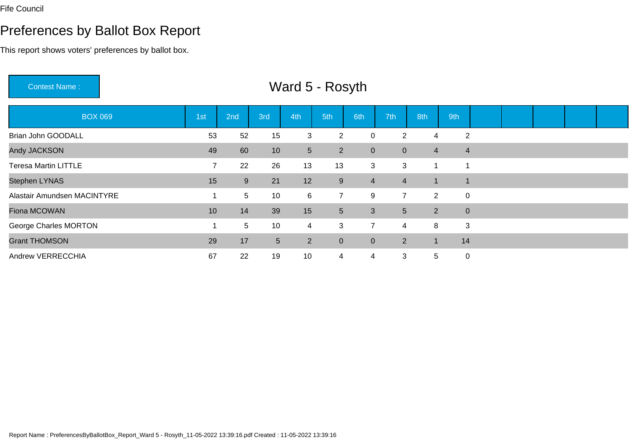# Preferences by Ballot Box Report

This report shows voters' preferences by ballot box.

Contest Name :

| <b>BOX 069</b>              | 1st | 2nd             | 3rd        | 4th             | 5th            | 6th            | 7th <sup>1</sup> | 8th            | 9th                      |                |  |  |
|-----------------------------|-----|-----------------|------------|-----------------|----------------|----------------|------------------|----------------|--------------------------|----------------|--|--|
| Brian John GOODALL          | 53  | 52              | 15         | 3               | $\overline{2}$ | 0              | $\overline{2}$   | 4              |                          | $\overline{2}$ |  |  |
| Andy JACKSON                | 49  | 60              | 10         | 5 <sup>5</sup>  | 2 <sup>1</sup> | $\mathbf{0}$   | $\overline{0}$   | 4              |                          | $\overline{4}$ |  |  |
| <b>Teresa Martin LITTLE</b> | 7   | 22              | 26         | 13              | 13             | 3              | 3                | 1              | 1                        |                |  |  |
| Stephen LYNAS               | 15  | 9               | 21         | 12              | 9              | $\overline{4}$ | $\overline{4}$   | $\blacksquare$ | $\overline{\phantom{a}}$ |                |  |  |
| Alastair Amundsen MACINTYRE |     | $5\phantom{.0}$ | 10         | $6\overline{6}$ | $\overline{7}$ | 9              | $\overline{7}$   | 2              | $\overline{0}$           |                |  |  |
| Fiona MCOWAN                | 10  | 14              | 39         | 15              | 5 <sup>5</sup> | 3              | 5 <sup>5</sup>   | 2              |                          | $\overline{0}$ |  |  |
| George Charles MORTON       |     | $5\overline{)}$ | 10         | $\overline{4}$  | 3              | $\overline{7}$ | $\overline{4}$   | 8              |                          | 3              |  |  |
| <b>Grant THOMSON</b>        | 29  | 17              | $\sqrt{5}$ | 2 <sup>1</sup>  | $\mathbf{0}$   | $\overline{0}$ | $\overline{2}$   | $\mathbf 1$    | 14                       |                |  |  |
| Andrew VERRECCHIA           | 67  | 22              | 19         | 10              | 4              | 4              | 3                | 5              | $\mathbf 0$              |                |  |  |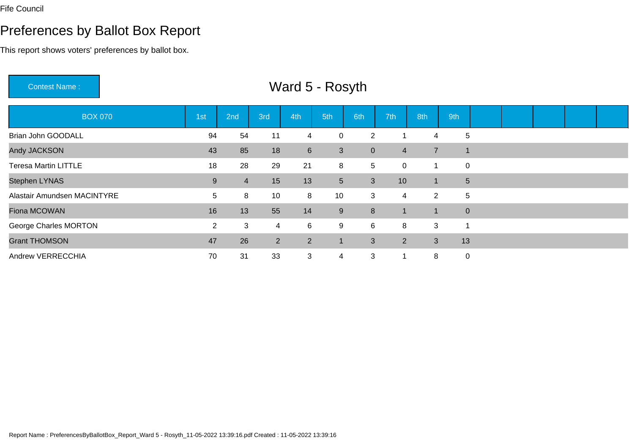# Preferences by Ballot Box Report

This report shows voters' preferences by ballot box.

Contest Name :

| <b>BOX 070</b>              | 1st            | 2nd            | 3rd | 4th             | 5th            | 6th            | 7th            | 8th            | 9th            |  |  |  |
|-----------------------------|----------------|----------------|-----|-----------------|----------------|----------------|----------------|----------------|----------------|--|--|--|
| Brian John GOODALL          | 94             | 54             | 11  | 4               | 0              | $\overline{2}$ |                | 4              | 5              |  |  |  |
| Andy JACKSON                | 43             | 85             | 18  | $6\overline{6}$ | 3              | $\overline{0}$ | $\overline{4}$ | $\overline{7}$ |                |  |  |  |
| <b>Teresa Martin LITTLE</b> | 18             | 28             | 29  | 21              | 8              | 5              | $\mathbf 0$    | 1              | $\mathbf 0$    |  |  |  |
| <b>Stephen LYNAS</b>        | 9              | $\overline{4}$ | 15  | 13              | 5 <sup>5</sup> | 3              | 10             | $\mathbf 1$    | 5              |  |  |  |
| Alastair Amundsen MACINTYRE | 5              | 8              | 10  | 8               | 10             | 3              | $\overline{4}$ | 2              | 5              |  |  |  |
| Fiona MCOWAN                | 16             | 13             | 55  | 14              | 9              | 8              | -1             | $\mathbf 1$    | $\overline{0}$ |  |  |  |
| George Charles MORTON       | $\overline{2}$ | 3              | 4   | 6               | 9              | 6              | 8              | 3              | 1              |  |  |  |
| <b>Grant THOMSON</b>        | 47             | 26             | 2   | 2               | $\mathbf{1}$   | 3              | $2^{\circ}$    | 3              | 13             |  |  |  |
| Andrew VERRECCHIA           | 70             | 31             | 33  | 3               | 4              | 3              |                | 8              | $\mathbf 0$    |  |  |  |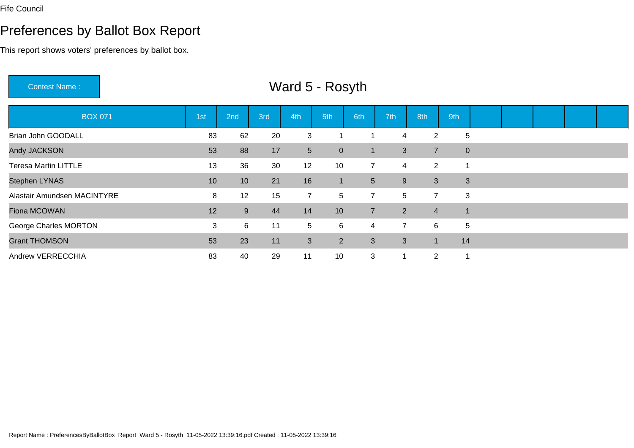## Preferences by Ballot Box Report

This report shows voters' preferences by ballot box.

Contest Name :BOX 071 1st 2nd 3rd 4th 5th 6th 7th 8th 9th Brian John GOODALLL 2 3 83 62 20 3 1 1 4 2 5 Andy JACKSONN 53 88 17 5 0 1 3 7 0 Teresa Martin LITTLEE 13 36 30 12 10 7 4 2 1 Stephen LYNAS <sup>10</sup> <sup>10</sup> <sup>21</sup> <sup>16</sup> <sup>1</sup> <sup>5</sup> <sup>9</sup> <sup>3</sup> <sup>3</sup> Alastair Amundsen MACINTYREE 8 12 15 7 5 7 5 7 3 Fiona MCOWANN 12 9 44 14 10 7 2 4 1 George Charles MORTONN 3 6 11 5 6 4 7 6 5 Grant THOMSONN 53 53 23 11 3 2 3 3 1 14 Andrew VERRECCHIAA 283 40 29 11 10 3 1 2 1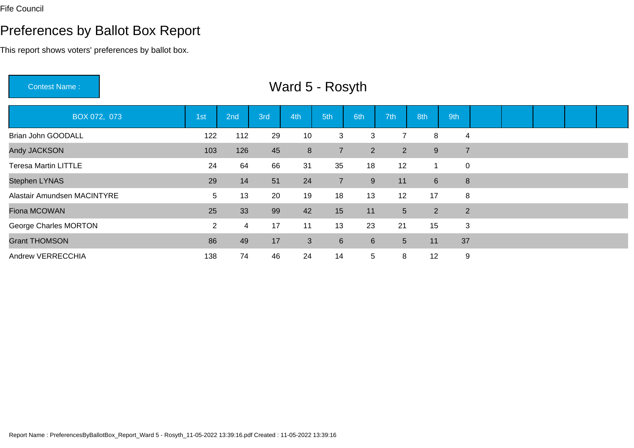## Preferences by Ballot Box Report

This report shows voters' preferences by ballot box.

Contest Name : Ward 5 - RosythBOX 072, 073 1st 2nd 3rd 4th 5th 6th 7th 8th 9th Brian John GOODALL <sup>122</sup> <sup>112</sup> <sup>29</sup> <sup>10</sup> <sup>3</sup> <sup>3</sup> <sup>7</sup> <sup>8</sup> <sup>4</sup> Andy JACKSON103 126 45 8 7 2 2 9 7 Teresa Martin LITTLEE 24 64 66 31 35 18 12 1 0 Stephen LYNAS29 14 51 24 7 9 11 6 8 Alastair Amundsen MACINTYRE <sup>5</sup> <sup>13</sup> <sup>20</sup> <sup>19</sup> <sup>18</sup> <sup>13</sup> <sup>12</sup> <sup>17</sup> <sup>8</sup> Fiona MCOWANN 25 33 99 42 15 11 5 2 2 George Charles MORTONN 2 4 17 11 13 23 21 15 3 Grant THOMSONN 186 49 17 3 6 6 5 11 37 Andrew VERRECCHIAA 138 74 46 24 14 5 8 12 9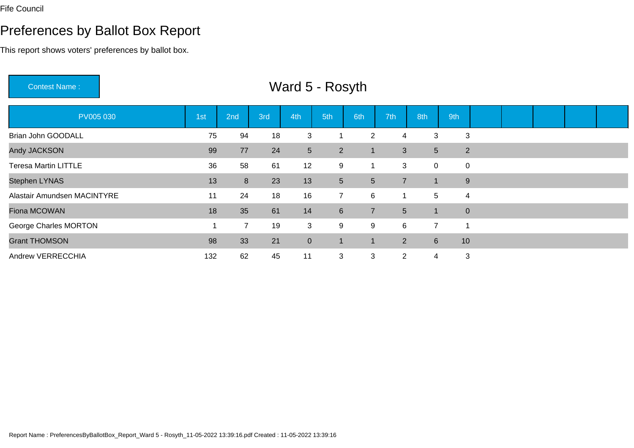## Preferences by Ballot Box Report

This report shows voters' preferences by ballot box.

Contest Name :PV005 030 1st 2nd 3rd 4th 5th 6th 7th 8th 9th Brian John GOODALLL 2 4 3 3 4 18 3 1 2 4 3 3 Andy JACKSONN 199 77 24 5 2 1 3 5 2 Teresa Martin LITTLEE 36 58 61 12 9 1 3 0 0 Stephen LYNAS5 5 7 1 9 Alastair Amundsen MACINTYREE 11 24 18 16 7 6 1 5 4 Fiona MCOWANN 18 35 61 14 6 7 5 1 0 George Charles MORTONN 1 7 19 3 9 9 6 7 1 Grant THOMSONN 1 2 6 10 Andrew VERRECCHIAA 132 62 45 11 3 3 2 4 3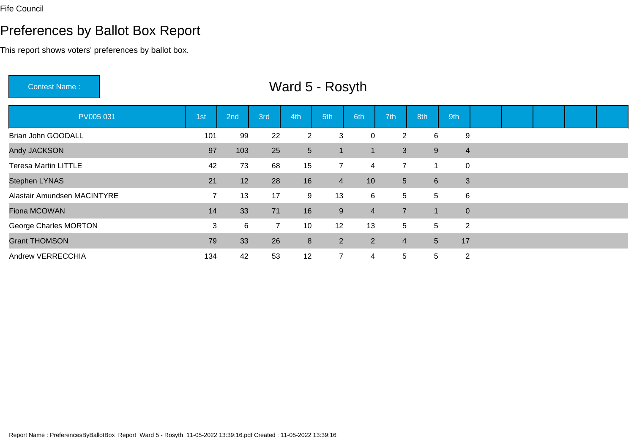# Preferences by Ballot Box Report

This report shows voters' preferences by ballot box.

Contest Name :

| PV005 031                   | 1st            | 2nd | 3rd            | 4th             | 5th            | 6th            | 7th            | 8th             | 9th                     |  |  |  |
|-----------------------------|----------------|-----|----------------|-----------------|----------------|----------------|----------------|-----------------|-------------------------|--|--|--|
| Brian John GOODALL          | 101            | 99  | 22             | 2               | 3              | 0              | $\overline{2}$ | 6               | 9                       |  |  |  |
| Andy JACKSON                | 97             | 103 | 25             | $5\phantom{.0}$ | 1              | $\mathbf 1$    | 3              | 9               | $\overline{\mathbf{4}}$ |  |  |  |
| <b>Teresa Martin LITTLE</b> | 42             | 73  | 68             | 15              | $\overline{7}$ | 4              | $\overline{7}$ |                 | $\mathbf 0$             |  |  |  |
| Stephen LYNAS               | 21             | 12  | 28             | 16              | $\overline{4}$ | 10             | 5 <sup>5</sup> | $6\phantom{1}$  | 3                       |  |  |  |
| Alastair Amundsen MACINTYRE | $\overline{7}$ | 13  | 17             | 9               | 13             | 6              | 5              | 5               | 6                       |  |  |  |
| Fiona MCOWAN                | 14             | 33  | 71             | 16              | 9              | $\overline{4}$ | $\overline{7}$ |                 | $\mathbf 0$             |  |  |  |
| George Charles MORTON       | 3              | 6   | $\overline{7}$ | 10              | 12             | 13             | 5              | 5               | $\overline{2}$          |  |  |  |
| <b>Grant THOMSON</b>        | 79             | 33  | 26             | $\bf 8$         | 2 <sup>1</sup> | $\overline{2}$ | $\overline{4}$ | $5\overline{)}$ | 17                      |  |  |  |
| Andrew VERRECCHIA           | 134            | 42  | 53             | 12              | $\overline{7}$ | 4              | 5              | 5               | $\overline{2}$          |  |  |  |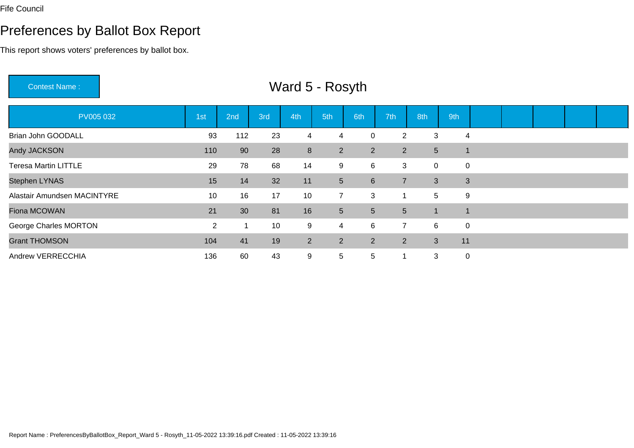## Preferences by Ballot Box Report

This report shows voters' preferences by ballot box.

Contest Name : Ward 5 - RosythPV005 032 1st 2nd 3rd 4th 5th 6th 7th 8th 9th Brian John GOODALL <sup>93</sup> <sup>112</sup> <sup>23</sup> <sup>4</sup> <sup>4</sup> <sup>0</sup> <sup>2</sup> <sup>3</sup> <sup>4</sup> Andy JACKSONN 110 90 28 8 2 2 2 5 1 Teresa Martin LITTLEE 29 78 68 14 9 6 3 0 0 Stephen LYNAS <sup>15</sup> <sup>14</sup> <sup>32</sup> <sup>11</sup> <sup>5</sup> <sup>6</sup> <sup>7</sup> <sup>3</sup> <sup>3</sup> Alastair Amundsen MACINTYREE 10 16 17 10 7 3 1 5 9 Fiona MCOWANN 21 30 81 16 5 5 5 1 1 George Charles MORTONN 2 1 10 9 4 6 7 6 0 Grant THOMSONN 104 41 19 2 2 2 2 3 11 Andrew VERRECCHIAA 136 60 43 9 5 5 1 3 0